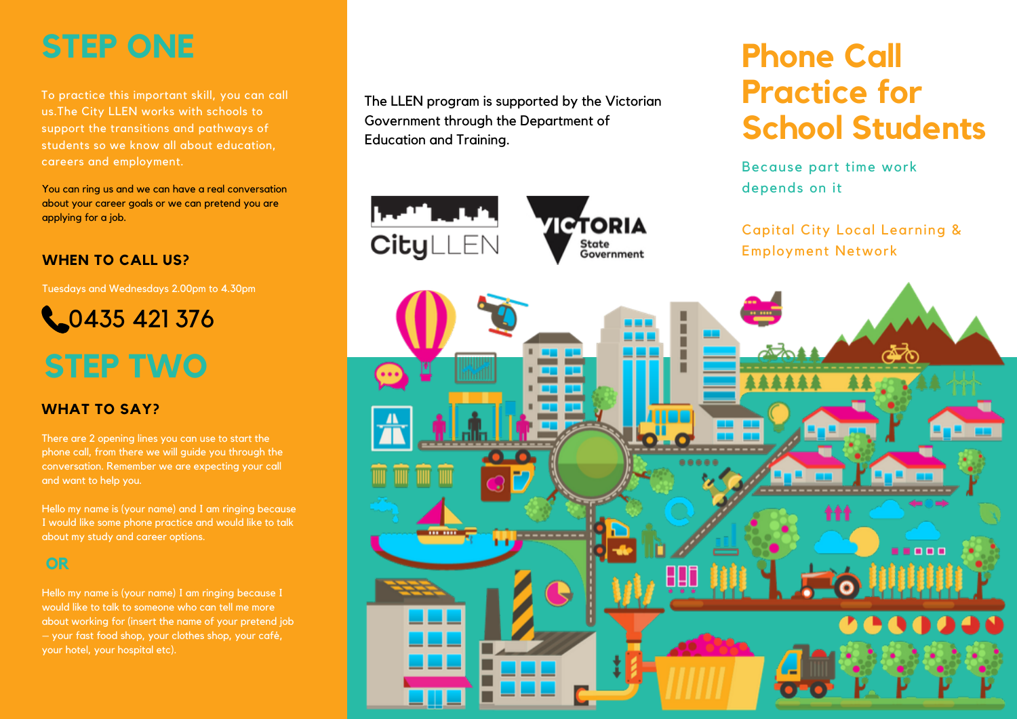### **STEP ONE**

To practice this important skill, you can call us.The City LLEN works with schools to support the transitions and pathways of students so we know all about education, careers and employment.

You can ring us and we can have a real conversation about your career goals or we can pretend you are applying for a job.

#### **WHEN TO CALL US?**

Tuesdays and Wednesdays 2.00pm to 4.30pm



### **STEP TWO**

### **WHAT TO SAY?**

There are 2 opening lines you can use to start the phone call, from there we will guide you through the conversation. Remember we are expecting your call and want to help you.

Hello my name is (your name) and I am ringing because I would like some phone practice and would like to talk about my study and career options.

### **OR**

Hello my name is (your name) I am ringing because I would like to talk to someone who can tell me more about working for (insert the name of your pretend job – your fast food shop, your clothes shop, your café, your hotel, your hospital etc).

The LLEN program is supported by the Victorian Government through the Department of Education and Training.

**MORIA** 

State

## **Phone Call Practice for School Students**

Because part time work depends on it

Capital City Local Learning & Employment Network